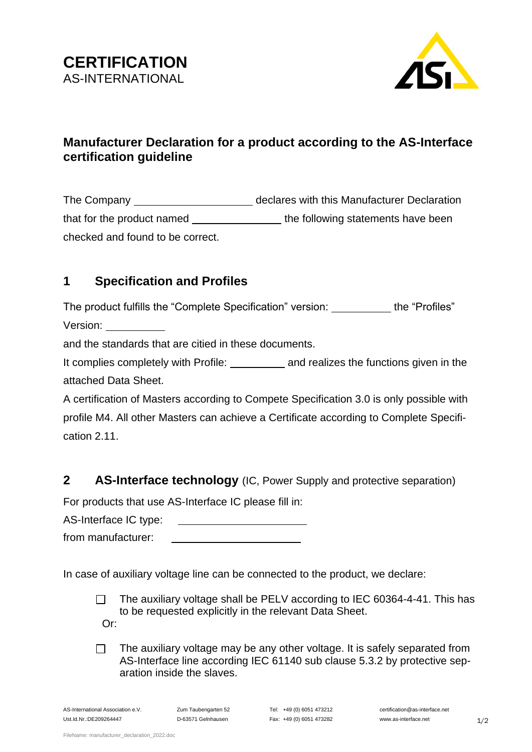



# **Manufacturer Declaration for a product according to the AS-Interface certification guideline**

The Company declares with this Manufacturer Declaration that for the product named the following statements have been checked and found to be correct.

# **1 Specification and Profiles**

The product fulfills the "Complete Specification" version: \_\_\_\_\_\_\_\_\_\_ the "Profiles" Version:

and the standards that are citied in these documents.

It complies completely with Profile: \_\_\_\_\_\_\_\_\_\_\_\_ and realizes the functions given in the attached Data Sheet.

A certification of Masters according to Compete Specification 3.0 is only possible with profile M4. All other Masters can achieve a Certificate according to Complete Specification 2.11.

## **2 AS-Interface technology** (IC, Power Supply and protective separation)

For products that use AS-Interface IC please fill in:

AS-Interface IC type:

from manufacturer:

In case of auxiliary voltage line can be connected to the product, we declare:

The auxiliary voltage shall be PELV according to IEC 60364-4-41. This has  $\Box$ to be requested explicitly in the relevant Data Sheet. Or:

The auxiliary voltage may be any other voltage. It is safely separated from  $\Box$ AS-Interface line according IEC 61140 sub clause 5.3.2 by protective separation inside the slaves.

AS-International Association e.V. Zum Taubengarten 52 Tel: +49 (0) 6051 473212 certification@as-interface.net Ust.Id.Nr.:DE209264447 D-63571 Gelnhausen Fax: +49 (0) 6051 473282 www.as-interface.net